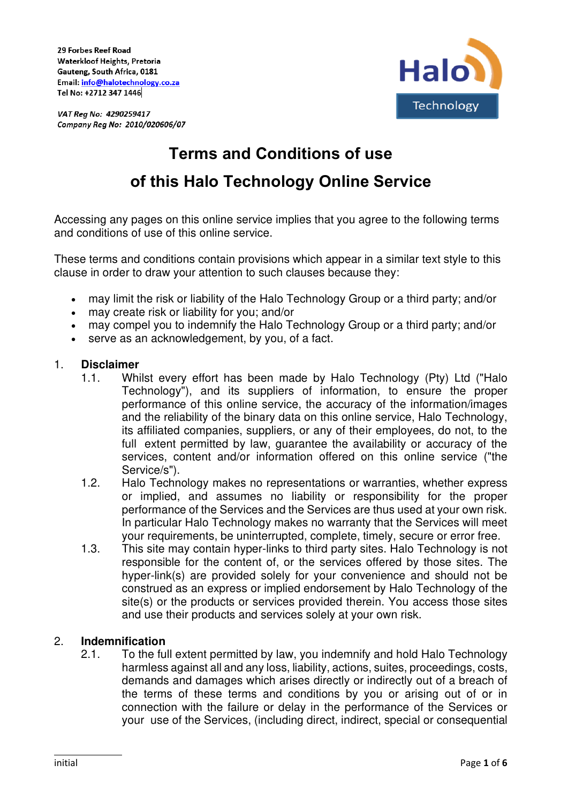29 Forbes Reef Road Waterkloof Heights, Pretoria Gauteng, South Africa, 0181 Email: info@halotechnology.co.za Tel No: +2712 347 1446



VAT Reg No: 4290259417 Company Reg No: 2010/020606/07

# **Terms and Conditions of use of this Halo Technology Online Service**

Accessing any pages on this online service implies that you agree to the following terms and conditions of use of this online service.

These terms and conditions contain provisions which appear in a similar text style to this clause in order to draw your attention to such clauses because they:

- may limit the risk or liability of the Halo Technology Group or a third party; and/or
- may create risk or liability for you; and/or
- may compel you to indemnify the Halo Technology Group or a third party; and/or
- serve as an acknowledgement, by you, of a fact.

#### 1. **Disclaimer**

- 1.1. Whilst every effort has been made by Halo Technology (Pty) Ltd ("Halo Technology"), and its suppliers of information, to ensure the proper performance of this online service, the accuracy of the information/images and the reliability of the binary data on this online service, Halo Technology, its affiliated companies, suppliers, or any of their employees, do not, to the full extent permitted by law, quarantee the availability or accuracy of the services, content and/or information offered on this online service ("the Service/s").
- 1.2. Halo Technology makes no representations or warranties, whether express or implied, and assumes no liability or responsibility for the proper performance of the Services and the Services are thus used at your own risk. In particular Halo Technology makes no warranty that the Services will meet your requirements, be uninterrupted, complete, timely, secure or error free.
- 1.3. This site may contain hyper-links to third party sites. Halo Technology is not responsible for the content of, or the services offered by those sites. The hyper-link(s) are provided solely for your convenience and should not be construed as an express or implied endorsement by Halo Technology of the site(s) or the products or services provided therein. You access those sites and use their products and services solely at your own risk.

## 2. **Indemnification**

2.1. To the full extent permitted by law, you indemnify and hold Halo Technology harmless against all and any loss, liability, actions, suites, proceedings, costs, demands and damages which arises directly or indirectly out of a breach of the terms of these terms and conditions by you or arising out of or in connection with the failure or delay in the performance of the Services or your use of the Services, (including direct, indirect, special or consequential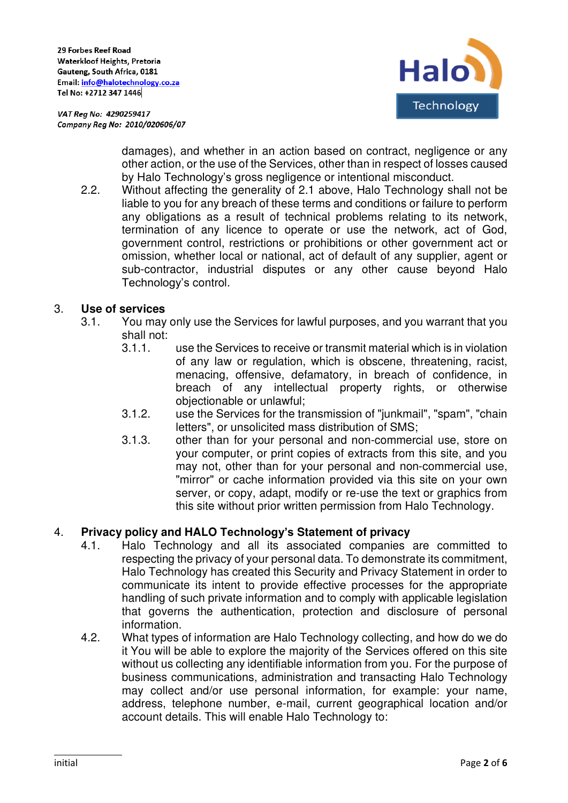VAT Reg No: 4290259417 Company Reg No: 2010/020606/07



damages), and whether in an action based on contract, negligence or any other action, or the use of the Services, other than in respect of losses caused by Halo Technology's gross negligence or intentional misconduct.

2.2. Without affecting the generality of 2.1 above, Halo Technology shall not be liable to you for any breach of these terms and conditions or failure to perform any obligations as a result of technical problems relating to its network, termination of any licence to operate or use the network, act of God, government control, restrictions or prohibitions or other government act or omission, whether local or national, act of default of any supplier, agent or sub-contractor, industrial disputes or any other cause beyond Halo Technology's control.

## 3. **Use of services**

- 3.1. You may only use the Services for lawful purposes, and you warrant that you shall not:
	- 3.1.1. use the Services to receive or transmit material which is in violation of any law or regulation, which is obscene, threatening, racist, menacing, offensive, defamatory, in breach of confidence, in breach of any intellectual property rights, or otherwise objectionable or unlawful;
	- 3.1.2. use the Services for the transmission of "junkmail", "spam", "chain letters", or unsolicited mass distribution of SMS;
	- 3.1.3. other than for your personal and non-commercial use, store on your computer, or print copies of extracts from this site, and you may not, other than for your personal and non-commercial use, "mirror" or cache information provided via this site on your own server, or copy, adapt, modify or re-use the text or graphics from this site without prior written permission from Halo Technology.

# 4. **Privacy policy and HALO Technology's Statement of privacy**

- 4.1. Halo Technology and all its associated companies are committed to respecting the privacy of your personal data. To demonstrate its commitment, Halo Technology has created this Security and Privacy Statement in order to communicate its intent to provide effective processes for the appropriate handling of such private information and to comply with applicable legislation that governs the authentication, protection and disclosure of personal information.
- 4.2. What types of information are Halo Technology collecting, and how do we do it You will be able to explore the majority of the Services offered on this site without us collecting any identifiable information from you. For the purpose of business communications, administration and transacting Halo Technology may collect and/or use personal information, for example: your name, address, telephone number, e-mail, current geographical location and/or account details. This will enable Halo Technology to: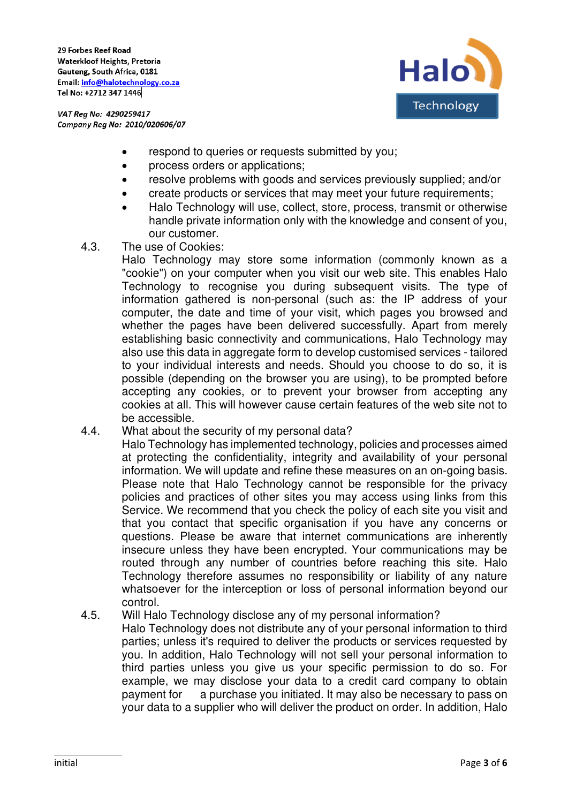29 Forbes Reef Road Waterkloof Heights, Pretoria Gauteng, South Africa, 0181 Email: info@halotechnology.co.za Tel No: +2712 347 1446



VAT Reg No: 4290259417 Company Reg No: 2010/020606/07

- respond to queries or requests submitted by you;
- process orders or applications;
- resolve problems with goods and services previously supplied; and/or
- create products or services that may meet your future requirements;
- Halo Technology will use, collect, store, process, transmit or otherwise handle private information only with the knowledge and consent of you, our customer.
- 4.3. The use of Cookies:

Halo Technology may store some information (commonly known as a "cookie") on your computer when you visit our web site. This enables Halo Technology to recognise you during subsequent visits. The type of information gathered is non-personal (such as: the IP address of your computer, the date and time of your visit, which pages you browsed and whether the pages have been delivered successfully. Apart from merely establishing basic connectivity and communications, Halo Technology may also use this data in aggregate form to develop customised services - tailored to your individual interests and needs. Should you choose to do so, it is possible (depending on the browser you are using), to be prompted before accepting any cookies, or to prevent your browser from accepting any cookies at all. This will however cause certain features of the web site not to be accessible.

- 4.4. What about the security of my personal data? Halo Technology has implemented technology, policies and processes aimed at protecting the confidentiality, integrity and availability of your personal information. We will update and refine these measures on an on-going basis. Please note that Halo Technology cannot be responsible for the privacy policies and practices of other sites you may access using links from this Service. We recommend that you check the policy of each site you visit and that you contact that specific organisation if you have any concerns or questions. Please be aware that internet communications are inherently insecure unless they have been encrypted. Your communications may be routed through any number of countries before reaching this site. Halo Technology therefore assumes no responsibility or liability of any nature whatsoever for the interception or loss of personal information beyond our control.
- 4.5. Will Halo Technology disclose any of my personal information?

Halo Technology does not distribute any of your personal information to third parties; unless it's required to deliver the products or services requested by you. In addition, Halo Technology will not sell your personal information to third parties unless you give us your specific permission to do so. For example, we may disclose your data to a credit card company to obtain payment for a purchase you initiated. It may also be necessary to pass on your data to a supplier who will deliver the product on order. In addition, Halo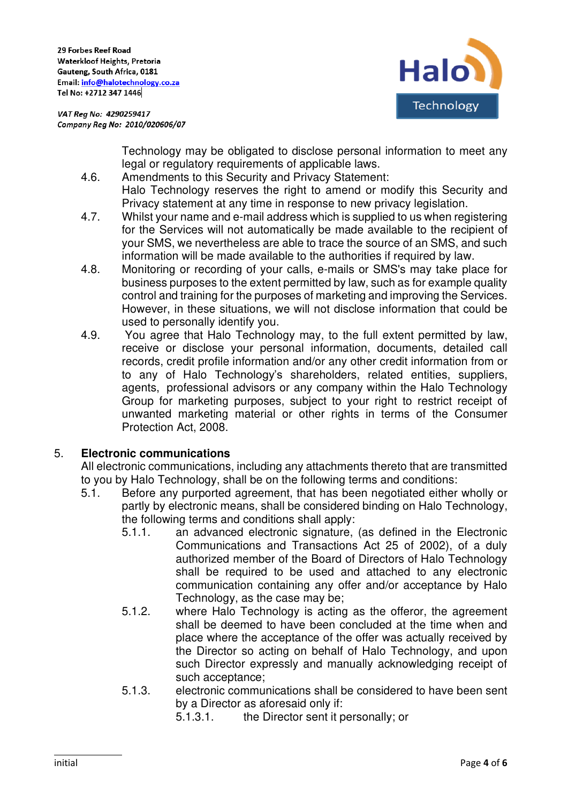

VAT Reg No: 4290259417 Company Reg No: 2010/020606/07

> Technology may be obligated to disclose personal information to meet any legal or regulatory requirements of applicable laws.

- 4.6. Amendments to this Security and Privacy Statement:
	- Halo Technology reserves the right to amend or modify this Security and Privacy statement at any time in response to new privacy legislation.
- 4.7. Whilst your name and e-mail address which is supplied to us when registering for the Services will not automatically be made available to the recipient of your SMS, we nevertheless are able to trace the source of an SMS, and such information will be made available to the authorities if required by law.
- 4.8. Monitoring or recording of your calls, e-mails or SMS's may take place for business purposes to the extent permitted by law, such as for example quality control and training for the purposes of marketing and improving the Services. However, in these situations, we will not disclose information that could be used to personally identify you.
- 4.9. You agree that Halo Technology may, to the full extent permitted by law, receive or disclose your personal information, documents, detailed call records, credit profile information and/or any other credit information from or to any of Halo Technology's shareholders, related entities, suppliers, agents, professional advisors or any company within the Halo Technology Group for marketing purposes, subject to your right to restrict receipt of unwanted marketing material or other rights in terms of the Consumer Protection Act, 2008.

# 5. **Electronic communications**

All electronic communications, including any attachments thereto that are transmitted to you by Halo Technology, shall be on the following terms and conditions:

- 5.1. Before any purported agreement, that has been negotiated either wholly or partly by electronic means, shall be considered binding on Halo Technology, the following terms and conditions shall apply:
	- 5.1.1. an advanced electronic signature, (as defined in the Electronic Communications and Transactions Act 25 of 2002), of a duly authorized member of the Board of Directors of Halo Technology shall be required to be used and attached to any electronic communication containing any offer and/or acceptance by Halo Technology, as the case may be;
	- 5.1.2. where Halo Technology is acting as the offeror, the agreement shall be deemed to have been concluded at the time when and place where the acceptance of the offer was actually received by the Director so acting on behalf of Halo Technology, and upon such Director expressly and manually acknowledging receipt of such acceptance;
	- 5.1.3. electronic communications shall be considered to have been sent by a Director as aforesaid only if:

5.1.3.1. the Director sent it personally; or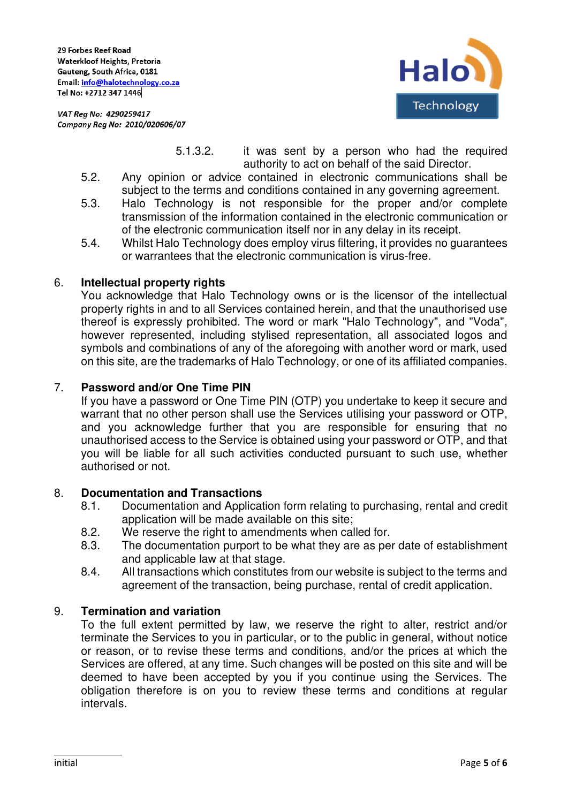



- 5.1.3.2. it was sent by a person who had the required authority to act on behalf of the said Director.
- 5.2. Any opinion or advice contained in electronic communications shall be subject to the terms and conditions contained in any governing agreement.
- 5.3. Halo Technology is not responsible for the proper and/or complete transmission of the information contained in the electronic communication or of the electronic communication itself nor in any delay in its receipt.
- 5.4. Whilst Halo Technology does employ virus filtering, it provides no guarantees or warrantees that the electronic communication is virus-free.

## 6. **Intellectual property rights**

You acknowledge that Halo Technology owns or is the licensor of the intellectual property rights in and to all Services contained herein, and that the unauthorised use thereof is expressly prohibited. The word or mark "Halo Technology", and "Voda", however represented, including stylised representation, all associated logos and symbols and combinations of any of the aforegoing with another word or mark, used on this site, are the trademarks of Halo Technology, or one of its affiliated companies.

## 7. **Password and/or One Time PIN**

If you have a password or One Time PIN (OTP) you undertake to keep it secure and warrant that no other person shall use the Services utilising your password or OTP, and you acknowledge further that you are responsible for ensuring that no unauthorised access to the Service is obtained using your password or OTP, and that you will be liable for all such activities conducted pursuant to such use, whether authorised or not.

## 8. **Documentation and Transactions**

- 8.1. Documentation and Application form relating to purchasing, rental and credit application will be made available on this site;
- 8.2. We reserve the right to amendments when called for.
- 8.3. The documentation purport to be what they are as per date of establishment and applicable law at that stage.
- 8.4. All transactions which constitutes from our website is subject to the terms and agreement of the transaction, being purchase, rental of credit application.

# 9. **Termination and variation**

To the full extent permitted by law, we reserve the right to alter, restrict and/or terminate the Services to you in particular, or to the public in general, without notice or reason, or to revise these terms and conditions, and/or the prices at which the Services are offered, at any time. Such changes will be posted on this site and will be deemed to have been accepted by you if you continue using the Services. The obligation therefore is on you to review these terms and conditions at regular intervals.